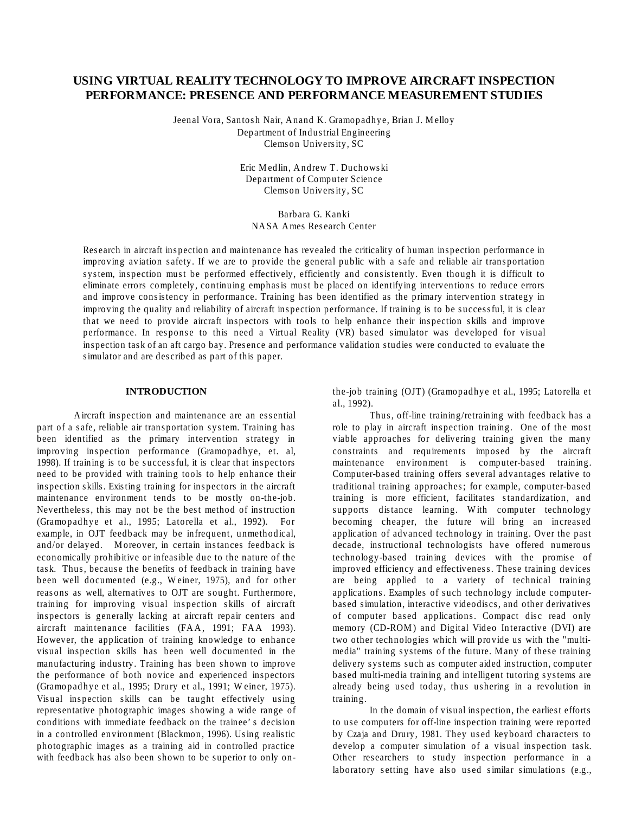# **USING VIRTUAL REALITY TECHNOLOGY TO IMPROVE AIRCRAFT INSPECTION PERFORMANCE: PRESENCE AND PERFORMANCE MEASUREMENT STUDIES**

Jeenal Vora, Santosh Nair, Anand K. Gramopadhye, Brian J. Melloy Department of Industrial Engineering Clemson University, SC

> Eric Medlin, Andrew T. Duchowski Department of Computer Science Clemson University, SC

Barbara G. Kanki NASA Ames Research Center

Research in aircraft inspection and maintenance has revealed the criticality of human inspection performance in improving aviation safety. If we are to provide the general public with a safe and reliable air transportation system, inspection must be performed effectively, efficiently and consistently. Even though it is difficult to eliminate errors completely, continuing emphasis must be placed on identifying interventions to reduce errors and improve consistency in performance. Training has been identified as the primary intervention strategy in improving the quality and reliability of aircraft inspection performance. If training is to be successful, it is clear that we need to provide aircraft inspectors with tools to help enhance their inspection skills and improve performance. In response to this need a Virtual Reality (VR) based simulator was developed for visual inspection task of an aft cargo bay. Presence and performance validation studies were conducted to evaluate the simulator and are described as part of this paper.

#### **INTRODUCTION**

Aircraft inspection and maintenance are an essential part of a safe, reliable air transportation system. Training has been identified as the primary intervention strategy in improving inspection performance (Gramopadhye, et. al, 1998). If training is to be successful, it is clear that inspectors need to be provided with training tools to help enhance their inspection skills. Existing training for inspectors in the aircraft maintenance environment tends to be mostly on-the-job. Nevertheless, this may not be the best method of instruction (Gramopadhye et al., 1995; Latorella et al., 1992). For example, in OJT feedback may be infrequent, unmethodical, and/or delayed. Moreover, in certain instances feedback is economically prohibitive or infeasible due to the nature of the task. Thus, because the benefits of feedback in training have been well documented (e.g., Weiner, 1975), and for other reasons as well, alternatives to OJT are sought. Furthermore, training for improving visual inspection skills of aircraft inspectors is generally lacking at aircraft repair centers and aircraft maintenance facilities (FAA, 1991; FAA 1993). However, the application of training knowledge to enhance visual inspection skills has been well documented in the manufacturing industry. Training has been shown to improve the performance of both novice and experienced inspectors (Gramopadhye et al., 1995; Drury et al., 1991; Weiner, 1975). Visual inspection skills can be taught effectively using representative photographic images showing a wide range of conditions with immediate feedback on the trainee's decision in a controlled environment (Blackmon, 1996). Using realistic photographic images as a training aid in controlled practice with feedback has also been shown to be superior to only onthe-job training (OJT) (Gramopadhye et al., 1995; Latorella et al., 1992).

Thus, off-line training/retraining with feedback has a role to play in aircraft inspection training. One of the most viable approaches for delivering training given the many constraints and requirements imposed by the aircraft maintenance environment is computer-based training. Computer-based training offers several advantages relative to traditional training approaches; for example, computer-based training is more efficient, facilitates standardization, and supports distance learning. With computer technology becoming cheaper, the future will bring an increased application of advanced technology in training. Over the past decade, instructional technologists have offered numerous technology-based training devices with the promise of improved efficiency and effectiveness. These training devices are being applied to a variety of technical training applications. Examples of such technology include computerbased simulation, interactive videodiscs, and other derivatives of computer based applications. Compact disc read only memory (CD-ROM) and Digital Video Interactive (DVI) are two other technologies which will provide us with the "multimedia" training systems of the future. Many of these training delivery systems such as computer aided instruction, computer based multi-media training and intelligent tutoring systems are already being used today, thus ushering in a revolution in training.

In the domain of visual inspection, the earliest efforts to use computers for off-line inspection training were reported by Czaja and Drury, 1981. They used keyboard characters to develop a computer simulation of a visual inspection task. Other researchers to study inspection performance in a laboratory setting have also used similar simulations (e.g.,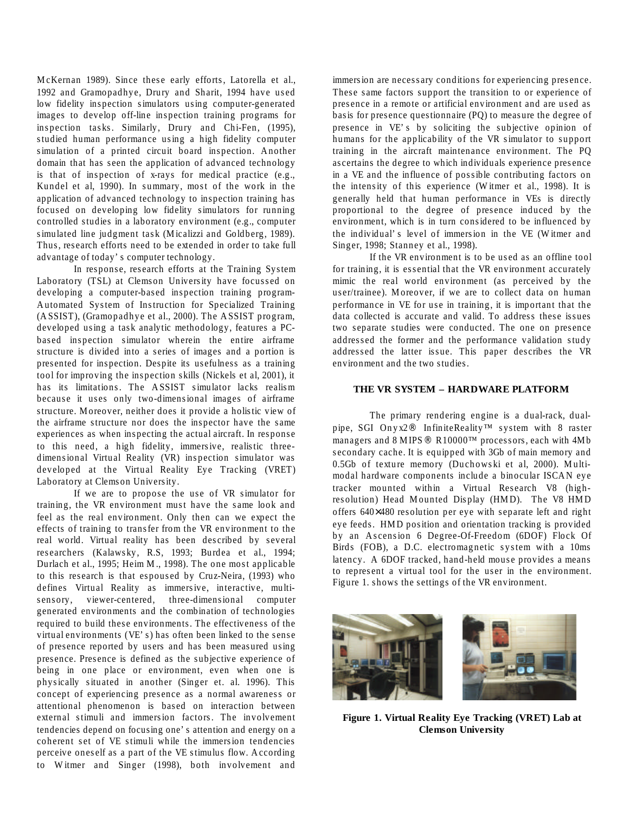McKernan 1989). Since these early efforts, Latorella et al., 1992 and Gramopadhye, Drury and Sharit, 1994 have used low fidelity inspection simulators using computer-generated images to develop off-line inspection training programs for inspection tasks. Similarly, Drury and Chi-Fen, (1995), studied human performance using a high fidelity computer simulation of a printed circuit board inspection. Another domain that has seen the application of advanced technology is that of inspection of x-rays for medical practice (e.g., Kundel et al, 1990). In summary, most of the work in the application of advanced technology to inspection training has focused on developing low fidelity simulators for running controlled studies in a laboratory environment (e.g., computer simulated line judgment task (Micalizzi and Goldberg, 1989). Thus, research efforts need to be extended in order to take full advantage of today's computer technology.

In response, research efforts at the Training System Laboratory (TSL) at Clemson University have focussed on developing a computer-based inspection training program-Automated System of Instruction for Specialized Training (ASSIST), (Gramopadhye et al., 2000). The ASSIST program, developed using a task analytic methodology, features a PCbased inspection simulator wherein the entire airframe structure is divided into a series of images and a portion is presented for inspection. Despite its usefulness as a training tool for improving the inspection skills (Nickels et al, 2001), it has its limitations. The ASSIST simulator lacks realism because it uses only two-dimensional images of airframe structure. Moreover, neither does it provide a holistic view of the airframe structure nor does the inspector have the same experiences as when inspecting the actual aircraft. In response to this need, a high fidelity, immersive, realistic threedimensional Virtual Reality (VR) inspection simulator was developed at the Virtual Reality Eye Tracking (VRET) Laboratory at Clemson University.

If we are to propose the use of VR simulator for training, the VR environment must have the same look and feel as the real environment. Only then can we expect the effects of training to transfer from the VR environment to the real world. Virtual reality has been described by several researchers (Kalawsky, R.S, 1993; Burdea et al., 1994; Durlach et al., 1995; Heim M., 1998). The one most applicable to this research is that espoused by Cruz-Neira, (1993) who defines Virtual Reality as immersive, interactive, multisensory, viewer-centered, three-dimensional computer generated environments and the combination of technologies required to build these environments. The effectiveness of the virtual environments (VE's) has often been linked to the sense of presence reported by users and has been measured using presence. Presence is defined as the subjective experience of being in one place or environment, even when one is physically situated in another (Singer et. al. 1996). This concept of experiencing presence as a normal awareness or attentional phenomenon is based on interaction between external stimuli and immersion factors. The involvement tendencies depend on focusing one's attention and energy on a coherent set of VE stimuli while the immersion tendencies perceive oneself as a part of the VE stimulus flow. According to Witmer and Singer (1998), both involvement and

immersion are necessary conditions for experiencing presence. These same factors support the transition to or experience of presence in a remote or artificial environment and are used as basis for presence questionnaire (PQ) to measure the degree of presence in VE's by soliciting the subjective opinion of humans for the applicability of the VR simulator to support training in the aircraft maintenance environment. The PQ ascertains the degree to which individuals experience presence in a VE and the influence of possible contributing factors on the intensity of this experience (Witmer et al., 1998). It is generally held that human performance in VEs is directly proportional to the degree of presence induced by the environment, which is in turn considered to be influenced by the individual's level of immersion in the VE (Witmer and Singer, 1998; Stanney et al., 1998).

If the VR environment is to be used as an offline tool for training, it is essential that the VR environment accurately mimic the real world environment (as perceived by the user/trainee). Moreover, if we are to collect data on human performance in VE for use in training, it is important that the data collected is accurate and valid. To address these issues two separate studies were conducted. The one on presence addressed the former and the performance validation study addressed the latter issue. This paper describes the VR environment and the two studies.

## **THE VR SYSTEM – HARDWARE PLATFORM**

The primary rendering engine is a dual-rack, dualpipe, SGI Onyx2® InfiniteReality™ system with 8 raster managers and 8 MIPS ® R10000™ processors, each with 4Mb secondary cache. It is equipped with 3Gb of main memory and 0.5Gb of texture memory (Duchowski et al, 2000). Multimodal hardware components include a binocular ISCAN eye tracker mounted within a Virtual Research V8 (highresolution) Head Mounted Display (HMD). The V8 HMD offers 640×480 resolution per eye with separate left and right eye feeds. HMD position and orientation tracking is provided by an Ascension 6 Degree-Of-Freedom (6DOF) Flock Of Birds (FOB), a D.C. electromagnetic system with a 10ms latency. A 6DOF tracked, hand-held mouse provides a means to represent a virtual tool for the user in the environment. Figure 1. shows the settings of the VR environment.



**Figure 1. Virtual Reality Eye Tracking (VRET) Lab at Clemson University**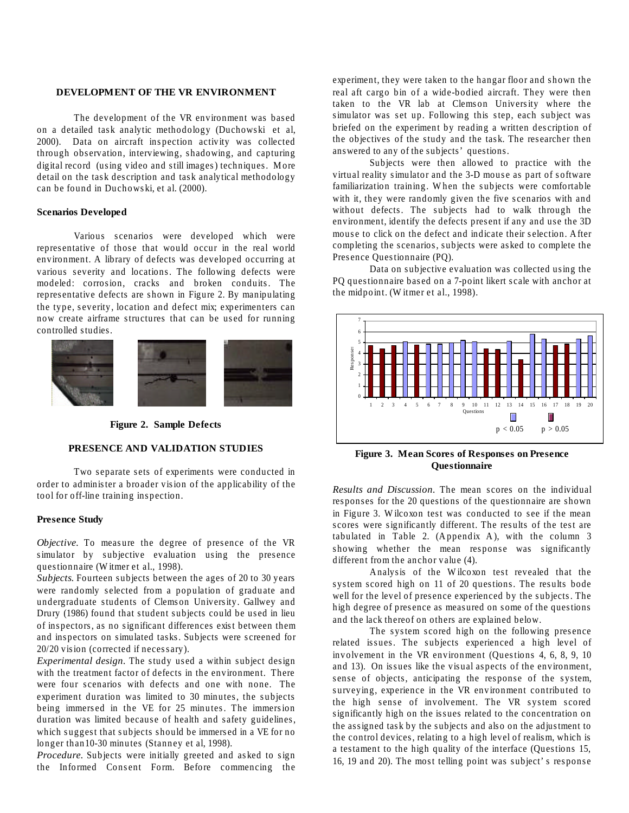#### **DEVELOPMENT OF THE VR ENVIRONMENT**

The development of the VR environment was based on a detailed task analytic methodology (Duchowski et al, 2000). Data on aircraft inspection activity was collected through observation, interviewing, shadowing, and capturing digital record (using video and still images) techniques. More detail on the task description and task analytical methodology can be found in Duchowski, et al. (2000).

#### **Scenarios Developed**

Various scenarios were developed which were representative of those that would occur in the real world environment. A library of defects was developed occurring at various severity and locations. The following defects were modeled: corrosion, cracks and broken conduits. The representative defects are shown in Figure 2. By manipulating the type, severity, location and defect mix; experimenters can now create airframe structures that can be used for running controlled studies.



**Figure 2. Sample Defects**

## **PRESENCE AND VALIDATION STUDIES**

Two separate sets of experiments were conducted in order to administer a broader vision of the applicability of the tool for off-line training inspection.

#### **Presence Study**

*Objective.* To measure the degree of presence of the VR simulator by subjective evaluation using the presence questionnaire (Witmer et al., 1998).

*Subjects.* Fourteen subjects between the ages of 20 to 30 years were randomly selected from a population of graduate and undergraduate students of Clemson University. Gallwey and Drury (1986) found that student subjects could be used in lieu of inspectors, as no significant differences exist between them and inspectors on simulated tasks. Subjects were screened for 20/20 vision (corrected if necessary).

*Experimental design.* The study used a within subject design with the treatment factor of defects in the environment. There were four scenarios with defects and one with none. The experiment duration was limited to 30 minutes, the subjects being immersed in the VE for 25 minutes. The immersion duration was limited because of health and safety guidelines, which suggest that subjects should be immersed in a VE for no longer than10-30 minutes (Stanney et al, 1998).

*Procedure.* Subjects were initially greeted and asked to sign the Informed Consent Form. Before commencing the experiment, they were taken to the hangar floor and shown the real aft cargo bin of a wide-bodied aircraft. They were then taken to the VR lab at Clemson University where the simulator was set up. Following this step, each subject was briefed on the experiment by reading a written description of the objectives of the study and the task. The researcher then answered to any of the subjects' questions.

Subjects were then allowed to practice with the virtual reality simulator and the 3-D mouse as part of software familiarization training. When the subjects were comfortable with it, they were randomly given the five scenarios with and without defects. The subjects had to walk through the environment, identify the defects present if any and use the 3D mouse to click on the defect and indicate their selection. After completing the scenarios, subjects were asked to complete the Presence Questionnaire (PQ).

Data on subjective evaluation was collected using the PQ questionnaire based on a 7-point likert scale with anchor at the midpoint. (Witmer et al., 1998).



**Figure 3. Mean Scores of Responses on Presence Questionnaire**

*Results and Discussion.* The mean scores on the individual responses for the 20 questions of the questionnaire are shown in Figure 3. Wilcoxon test was conducted to see if the mean scores were significantly different. The results of the test are tabulated in Table 2. (Appendix A), with the column 3 showing whether the mean response was significantly different from the anchor value (4).

Analysis of the Wilcoxon test revealed that the system scored high on 11 of 20 questions. The results bode well for the level of presence experienced by the subjects. The high degree of presence as measured on some of the questions and the lack thereof on others are explained below.

The system scored high on the following presence related issues. The subjects experienced a high level of involvement in the VR environment (Questions 4, 6, 8, 9, 10 and 13). On issues like the visual aspects of the environment, sense of objects, anticipating the response of the system, surveying, experience in the VR environment contributed to the high sense of involvement. The VR system scored significantly high on the issues related to the concentration on the assigned task by the subjects and also on the adjustment to the control devices, relating to a high level of realism, which is a testament to the high quality of the interface (Questions 15, 16, 19 and 20). The most telling point was subject's response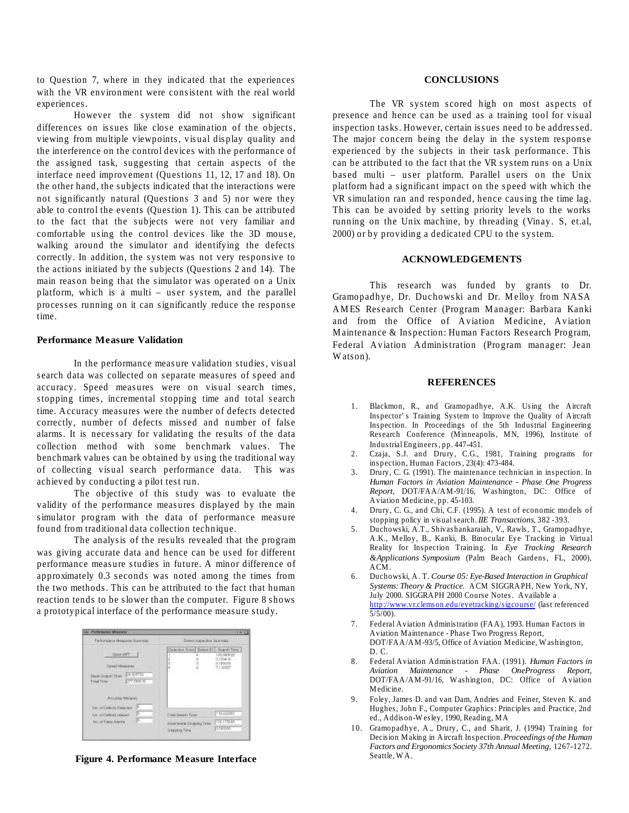to Question 7, where in they indicated that the experiences with the VR environment were consistent with the real world experiences.

However the system did not show significant differences on issues like close examination of the objects, viewing from multiple viewpoints, visual display quality and the interference on the control devices with the performance of the assigned task, suggesting that certain aspects of the interface need improvement (Questions 11, 12, 17 and 18). On the other hand, the subjects indicated that the interactions were not significantly natural (Questions 3 and 5) nor were they able to control the events (Question 1). This can be attributed to the fact that the subjects were not very familiar and comfortable using the control devices like the 3D mouse, walking around the simulator and identifying the defects correctly. In addition, the system was not very responsive to the actions initiated by the subjects (Questions 2 and 14). The main reason being that the simulator was operated on a Unix platform, which is a multi – user system, and the parallel processes running on it can significantly reduce the response time.

## **Performance Measure Validation**

In the performance measure validation studies, visual search data was collected on separate measures of speed and accuracy. Speed measures were on visual search times, stopping times, incremental stopping time and total search time. Accuracy measures were the number of defects detected correctly, number of defects missed and number of false alarms. It is necessary for validating the results of the data collection method with some benchmark values. The benchmark values can be obtained by using the traditional way of collecting visual search performance data. This was achieved by conducting a pilot test run.

The objective of this study was to evaluate the validity of the performance measures displayed by the main simulator program with the data of performance measure found from traditional data collection technique.

The analysis of the results revealed that the program was giving accurate data and hence can be used for different performance measure studies in future. A minor difference of approximately 0.3 seconds was noted among the times from the two methods. This can be attributed to the fact that human reaction tends to be slower than the computer. Figure 8 shows a prototypical interface of the performance measure study.



**Figure 4. Performance Measure Interface**

## **CONCLUSIONS**

The VR system scored high on most aspects of presence and hence can be used as a training tool for visual inspection tasks. However, certain issues need to be addressed. The major concern being the delay in the system response experienced by the subjects in their task performance. This can be attributed to the fact that the VR system runs on a Unix based multi – user platform. Parallel users on the Unix platform had a significant impact on the speed with which the VR simulation ran and responded, hence causing the time lag. This can be avoided by setting priority levels to the works running on the Unix machine, by threading (Vinay. S, et.al, 2000) or by providing a dedicated CPU to the system.

## **ACKNOWLEDGEMENTS**

This research was funded by grants to Dr. Gramopadhye, Dr. Duchowski and Dr. Melloy from NASA AMES Research Center (Program Manager: Barbara Kanki and from the Office of Aviation Medicine, Aviation Maintenance & Inspection: Human Factors Research Program, Federal Aviation Administration (Program manager: Jean Watson).

#### **REFERENCES**

- 1. Blackmon, R., and Gramopadhye, A.K. Using the Aircraft Inspector's Training System to Improve the Quality of Aircraft Inspection. In Proceedings of the 5th Industrial Engineering Research Conference (Minneapolis, MN, 1996), Institute of Industrial Engineers, pp. 447-451.
- 2. Czaja, S.J. and Drury, C.G., 1981, Training programs for inspection, Human Factors, 23(4): 473-484.
- 3. Drury, C. G. (1991). The maintenance technician in inspection. In *Human Factors in Aviation Maintenance - Phase One Progress Report*, DOT/FAA/AM-91/16, Washington, DC: Office of Aviation Medicine, pp. 45-103.
- 4. Drury, C. G., and Chi, C.F. (1995). A test of economic models of stopping policy in visual search. *IIE Transactions*, 382 -393.
- 5. Duchowski, A.T., Shivashankaraiah, V., Rawls, T., Gramopadhye, A.K., Melloy, B., Kanki, B. Binocular Eye Tracking in Virtual Reality for Inspection Training. In *Eye Tracking Research &Applications Symposium* (Palm Beach Gardens, FL, 2000), ACM.
- 6. Duchowski, A. T. *Course 05: Eye-Based Interaction in Graphical Systems: Theory & Practice*. ACM SIGGRAPH, New York, NY, July 2000. SIGGRAPH 2000 Course Notes. Available a http://www.vr.clemson.edu/eyetracking/sigcourse/ (last referenced  $5/5/00$ ).
- 7. Federal Aviation Administration (FAA), 1993. Human Factors in Aviation Maintenance - Phase Two Progress Report, DOT/FAA/AM-93/5, Office of Aviation Medicine, Washington, D. C.
- 8. Federal Aviation Administration FAA. (1991). *Human Factors in Aviation Maintenance - Phase OneProgress Report,* DOT/FAA/AM-91/16, Washington, DC: Office of Aviation Medicine.
- 9. Foley, James D. and van Dam, Andries and Feiner, Steven K. and Hughes, John F., Computer Graphics: Principles and Practice, 2nd ed., Addison-Wesley, 1990, Reading, MA
- 10. Gramopadhye, A., Drury, C., and Sharit, J. (1994) Training for Decision Making in Aircraft Inspection. *Proceedings of the Human Factors and Ergonomics Society 37th Annual Meeting*, 1267-1272. Seattle, WA.